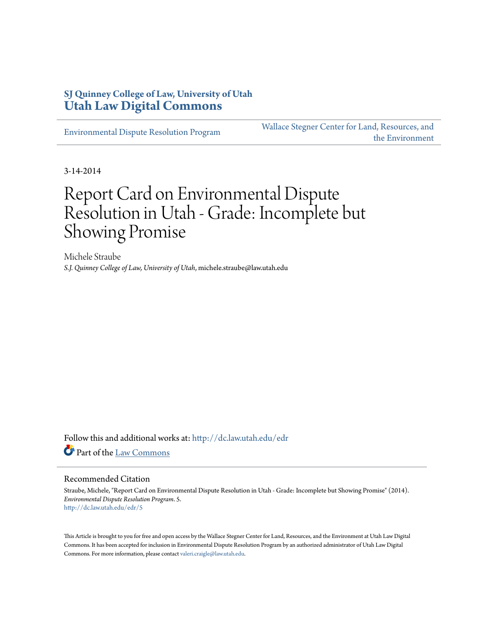## **SJ Quinney College of Law, University of Utah [Utah Law Digital Commons](http://dc.law.utah.edu?utm_source=dc.law.utah.edu%2Fedr%2F5&utm_medium=PDF&utm_campaign=PDFCoverPages)**

[Environmental Dispute Resolution Program](http://dc.law.utah.edu/edr?utm_source=dc.law.utah.edu%2Fedr%2F5&utm_medium=PDF&utm_campaign=PDFCoverPages)

[Wallace Stegner Center for Land, Resources, and](http://dc.law.utah.edu/stegner?utm_source=dc.law.utah.edu%2Fedr%2F5&utm_medium=PDF&utm_campaign=PDFCoverPages) [the Environment](http://dc.law.utah.edu/stegner?utm_source=dc.law.utah.edu%2Fedr%2F5&utm_medium=PDF&utm_campaign=PDFCoverPages)

3-14-2014

# Report Card on Environmental Dispute Resolution in Utah - Grade: Incomplete but Showing Promise

Michele Straube *S.J. Quinney College of Law, University of Utah*, michele.straube@law.utah.edu

Follow this and additional works at: [http://dc.law.utah.edu/edr](http://dc.law.utah.edu/edr?utm_source=dc.law.utah.edu%2Fedr%2F5&utm_medium=PDF&utm_campaign=PDFCoverPages) Part of the [Law Commons](http://network.bepress.com/hgg/discipline/578?utm_source=dc.law.utah.edu%2Fedr%2F5&utm_medium=PDF&utm_campaign=PDFCoverPages)

#### Recommended Citation

Straube, Michele, "Report Card on Environmental Dispute Resolution in Utah - Grade: Incomplete but Showing Promise" (2014). *Environmental Dispute Resolution Program*. 5. [http://dc.law.utah.edu/edr/5](http://dc.law.utah.edu/edr/5?utm_source=dc.law.utah.edu%2Fedr%2F5&utm_medium=PDF&utm_campaign=PDFCoverPages)

This Article is brought to you for free and open access by the Wallace Stegner Center for Land, Resources, and the Environment at Utah Law Digital Commons. It has been accepted for inclusion in Environmental Dispute Resolution Program by an authorized administrator of Utah Law Digital Commons. For more information, please contact [valeri.craigle@law.utah.edu](mailto:valeri.craigle@law.utah.edu).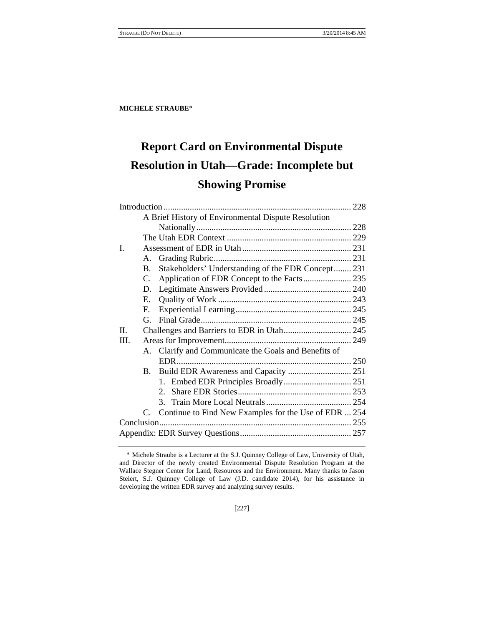## **Report Card on Environmental Dispute Resolution in Utah—Grade: Incomplete but Showing Promise**

|              |                | A Brief History of Environmental Dispute Resolution      |  |
|--------------|----------------|----------------------------------------------------------|--|
|              |                |                                                          |  |
|              |                |                                                          |  |
| I.           |                |                                                          |  |
|              | А.             |                                                          |  |
|              | B.             | Stakeholders' Understanding of the EDR Concept 231       |  |
|              | $C_{\cdot}$    |                                                          |  |
|              | D.             |                                                          |  |
|              | E.             |                                                          |  |
|              | F.             |                                                          |  |
|              | G.             |                                                          |  |
| $\mathbf{H}$ |                | Challenges and Barriers to EDR in Utah 245               |  |
| III.         |                |                                                          |  |
|              |                | A. Clarify and Communicate the Goals and Benefits of     |  |
|              |                |                                                          |  |
|              | $\mathbf{B}$ . |                                                          |  |
|              |                |                                                          |  |
|              |                |                                                          |  |
|              |                |                                                          |  |
|              |                | C. Continue to Find New Examples for the Use of EDR  254 |  |
|              |                |                                                          |  |
|              |                |                                                          |  |
|              |                |                                                          |  |

[227]

Michele Straube is a Lecturer at the S.J. Quinney College of Law, University of Utah, and Director of the newly created Environmental Dispute Resolution Program at the Wallace Stegner Center for Land, Resources and the Environment. Many thanks to Jason Steiert, S.J. Quinney College of Law (J.D. candidate 2014), for his assistance in developing the written EDR survey and analyzing survey results.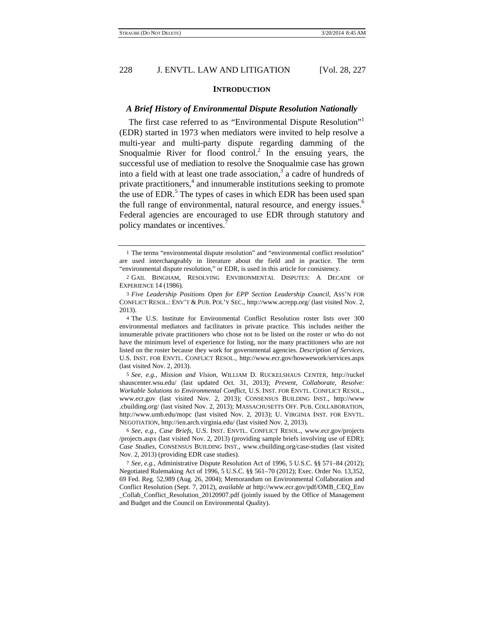#### **INTRODUCTION**

#### *A Brief History of Environmental Dispute Resolution Nationally*

The first case referred to as "Environmental Dispute Resolution"<sup>1</sup> (EDR) started in 1973 when mediators were invited to help resolve a multi-year and multi-party dispute regarding damming of the Snoqualmie River for flood control.<sup>2</sup> In the ensuing years, the successful use of mediation to resolve the Snoqualmie case has grown into a field with at least one trade association,<sup>3</sup> a cadre of hundreds of private practitioners,<sup>4</sup> and innumerable institutions seeking to promote the use of EDR.<sup>5</sup> The types of cases in which EDR has been used span the full range of environmental, natural resource, and energy issues.<sup>6</sup> Federal agencies are encouraged to use EDR through statutory and policy mandates or incentives.<sup>7</sup>

5 *See, e.g.*, *Mission and Vision*, WILLIAM D. RUCKELSHAUS CENTER, http://ruckel shauscenter.wsu.edu/ (last updated Oct. 31, 2013); *Prevent, Collaborate, Resolve: Workable Solutions to Environmental Conflict*, U.S. INST. FOR ENVTL. CONFLICT RESOL., www.ecr.gov (last visited Nov. 2, 2013); CONSENSUS BUILDING INST., http://www .cbuilding.org/ (last visited Nov. 2, 2013); MASSACHUSETTS OFF. PUB. COLLABORATION, http://www.umb.edu/mopc (last visited Nov. 2, 2013); U. VIRGINIA INST. FOR ENVTL. NEGOTIATION, http://ien.arch.virginia.edu/ (last visited Nov. 2, 2013).

<sup>1</sup> The terms "environmental dispute resolution" and "environmental conflict resolution" are used interchangeably in literature about the field and in practice. The term "environmental dispute resolution," or EDR, is used in this article for consistency.

<sup>2</sup> GAIL BINGHAM, RESOLVING ENVIRONMENTAL DISPUTES: A DECADE OF EXPERIENCE 14 (1986).

<sup>3</sup> *Five Leadership Positions Open for EPP Section Leadership Council*, ASS'N FOR CONFLICT RESOL.: ENV'T & PUB. POL'Y SEC., http://www.acrepp.org/ (last visited Nov. 2, 2013).

<sup>4</sup> The U.S. Institute for Environmental Conflict Resolution roster lists over 300 environmental mediators and facilitators in private practice. This includes neither the innumerable private practitioners who chose not to be listed on the roster or who do not have the minimum level of experience for listing, nor the many practitioners who are not listed on the roster because they work for governmental agencies. *Description of Services*, U.S. INST. FOR ENVTL. CONFLICT RESOL., http://www.ecr.gov/howwework/services.aspx (last visited Nov. 2, 2013).

<sup>6</sup> *See, e.g.*, *Case Briefs*, U.S. INST. ENVTL. CONFLICT RESOL., www.ecr.gov/projects /projects.aspx (last visited Nov. 2, 2013) (providing sample briefs involving use of EDR); *Case Studies*, CONSENSUS BUILDING INST., www.cbuilding.org/case-studies (last visited Nov. 2, 2013) (providing EDR case studies).

<sup>7</sup> *See, e.g.*, Administrative Dispute Resolution Act of 1996, 5 U.S.C. §§ 571–84 (2012); Negotiated Rulemaking Act of 1996, 5 U.S.C. §§ 561–70 (2012); Exec. Order No. 13,352, 69 Fed. Reg. 52,989 (Aug. 26, 2004); Memorandum on Environmental Collaboration and Conflict Resolution (Sept. 7, 2012), *available at* http://www.ecr.gov/pdf/OMB\_CEQ\_Env \_Collab\_Conflict\_Resolution\_20120907.pdf (jointly issued by the Office of Management and Budget and the Council on Environmental Quality).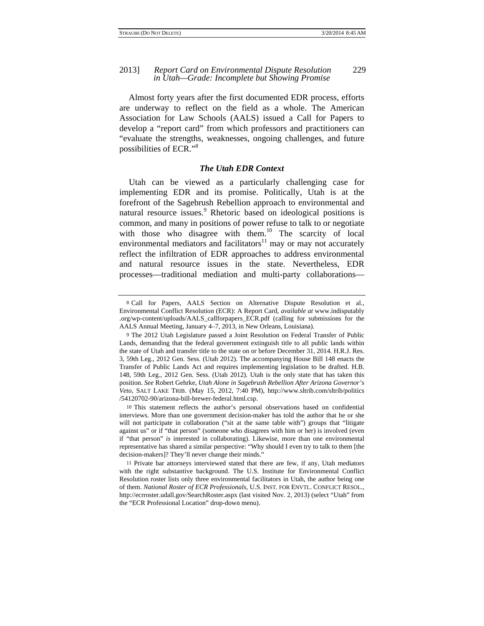#### 2013] *Report Card on Environmental Dispute Resolution* 229 *in Utah—Grade: Incomplete but Showing Promise*

Almost forty years after the first documented EDR process, efforts are underway to reflect on the field as a whole. The American Association for Law Schools (AALS) issued a Call for Papers to develop a "report card" from which professors and practitioners can "evaluate the strengths, weaknesses, ongoing challenges, and future possibilities of ECR."<sup>8</sup>

#### *The Utah EDR Context*

Utah can be viewed as a particularly challenging case for implementing EDR and its promise. Politically, Utah is at the forefront of the Sagebrush Rebellion approach to environmental and natural resource issues.<sup>9</sup> Rhetoric based on ideological positions is common, and many in positions of power refuse to talk to or negotiate with those who disagree with them.<sup>10</sup> The scarcity of local environmental mediators and facilitators<sup>11</sup> may or may not accurately reflect the infiltration of EDR approaches to address environmental and natural resource issues in the state. Nevertheless, EDR processes—traditional mediation and multi-party collaborations—

10 This statement reflects the author's personal observations based on confidential interviews. More than one government decision-maker has told the author that he or she will not participate in collaboration ("sit at the same table with") groups that "litigate against us" or if "that person" (someone who disagrees with him or her) is involved (even if "that person" *is* interested in collaborating). Likewise, more than one environmental representative has shared a similar perspective: "Why should I even try to talk to them [the decision-makers]? They'll never change their minds."

<sup>8</sup> Call for Papers, AALS Section on Alternative Dispute Resolution et al., Environmental Conflict Resolution (ECR): A Report Card, *available at* www.indisputably .org/wp-content/uploads/AALS\_callforpapers\_ECR.pdf (calling for submissions for the AALS Annual Meeting, January 4–7, 2013, in New Orleans, Louisiana).

<sup>9</sup> The 2012 Utah Legislature passed a Joint Resolution on Federal Transfer of Public Lands, demanding that the federal government extinguish title to all public lands within the state of Utah and transfer title to the state on or before December 31, 2014. H.R.J. Res. 3, 59th Leg., 2012 Gen. Sess. (Utah 2012). The accompanying House Bill 148 enacts the Transfer of Public Lands Act and requires implementing legislation to be drafted. H.B. 148, 59th Leg., 2012 Gen. Sess. (Utah 2012). Utah is the only state that has taken this position. *See* Robert Gehrke, *Utah Alone in Sagebrush Rebellion After Arizona Governor's Veto,* SALT LAKE TRIB. (May 15, 2012, 7:40 PM), http://www.sltrib.com/sltrib/politics /54120702-90/arizona-bill-brewer-federal.html.csp.

<sup>11</sup> Private bar attorneys interviewed stated that there are few, if any, Utah mediators with the right substantive background. The U.S. Institute for Environmental Conflict Resolution roster lists only three environmental facilitators in Utah, the author being one of them. *National Roster of ECR Professionals*, U.S. INST. FOR ENVTL. CONFLICT RESOL., http://ecrroster.udall.gov/SearchRoster.aspx (last visited Nov. 2, 2013) (select "Utah" from the "ECR Professional Location" drop-down menu).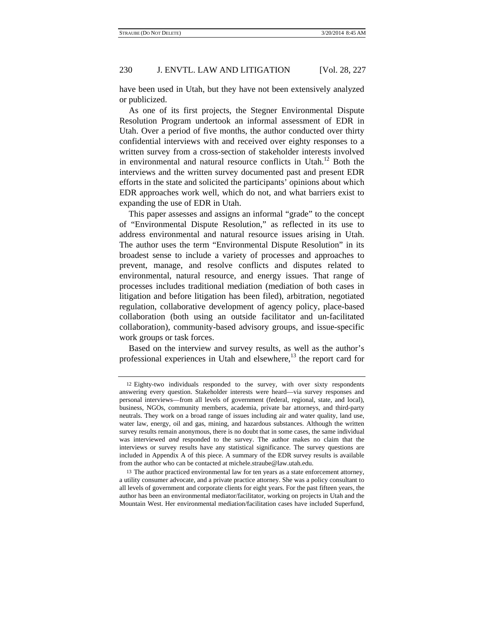have been used in Utah, but they have not been extensively analyzed or publicized.

As one of its first projects, the Stegner Environmental Dispute Resolution Program undertook an informal assessment of EDR in Utah. Over a period of five months, the author conducted over thirty confidential interviews with and received over eighty responses to a written survey from a cross-section of stakeholder interests involved in environmental and natural resource conflicts in Utah.<sup>12</sup> Both the interviews and the written survey documented past and present EDR efforts in the state and solicited the participants' opinions about which EDR approaches work well, which do not, and what barriers exist to expanding the use of EDR in Utah.

This paper assesses and assigns an informal "grade" to the concept of "Environmental Dispute Resolution," as reflected in its use to address environmental and natural resource issues arising in Utah. The author uses the term "Environmental Dispute Resolution" in its broadest sense to include a variety of processes and approaches to prevent, manage, and resolve conflicts and disputes related to environmental, natural resource, and energy issues. That range of processes includes traditional mediation (mediation of both cases in litigation and before litigation has been filed), arbitration, negotiated regulation, collaborative development of agency policy, place-based collaboration (both using an outside facilitator and un-facilitated collaboration), community-based advisory groups, and issue-specific work groups or task forces.

Based on the interview and survey results, as well as the author's professional experiences in Utah and elsewhere,<sup>13</sup> the report card for

<sup>12</sup> Eighty-two individuals responded to the survey, with over sixty respondents answering every question. Stakeholder interests were heard—via survey responses and personal interviews—from all levels of government (federal, regional, state, and local), business, NGOs, community members, academia, private bar attorneys, and third-party neutrals. They work on a broad range of issues including air and water quality, land use, water law, energy, oil and gas, mining, and hazardous substances. Although the written survey results remain anonymous, there is no doubt that in some cases, the same individual was interviewed *and* responded to the survey. The author makes no claim that the interviews or survey results have any statistical significance. The survey questions are included in Appendix A of this piece. A summary of the EDR survey results is available from the author who can be contacted at michele.straube@law.utah.edu.

<sup>13</sup> The author practiced environmental law for ten years as a state enforcement attorney, a utility consumer advocate, and a private practice attorney. She was a policy consultant to all levels of government and corporate clients for eight years. For the past fifteen years, the author has been an environmental mediator/facilitator, working on projects in Utah and the Mountain West. Her environmental mediation/facilitation cases have included Superfund,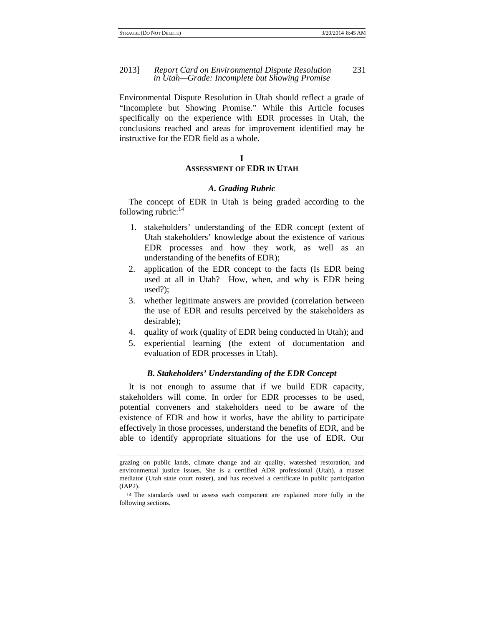#### 2013] *Report Card on Environmental Dispute Resolution* 231 *in Utah—Grade: Incomplete but Showing Promise*

Environmental Dispute Resolution in Utah should reflect a grade of "Incomplete but Showing Promise." While this Article focuses specifically on the experience with EDR processes in Utah, the conclusions reached and areas for improvement identified may be instructive for the EDR field as a whole.

#### **I**

#### **ASSESSMENT OF EDR IN UTAH**

#### *A. Grading Rubric*

The concept of EDR in Utah is being graded according to the following rubric: $14$ 

- 1. stakeholders' understanding of the EDR concept (extent of Utah stakeholders' knowledge about the existence of various EDR processes and how they work, as well as an understanding of the benefits of EDR);
- 2. application of the EDR concept to the facts (Is EDR being used at all in Utah? How, when, and why is EDR being used?);
- 3. whether legitimate answers are provided (correlation between the use of EDR and results perceived by the stakeholders as desirable);
- 4. quality of work (quality of EDR being conducted in Utah); and
- 5. experiential learning (the extent of documentation and evaluation of EDR processes in Utah).

#### *B. Stakeholders' Understanding of the EDR Concept*

It is not enough to assume that if we build EDR capacity, stakeholders will come. In order for EDR processes to be used, potential conveners and stakeholders need to be aware of the existence of EDR and how it works, have the ability to participate effectively in those processes, understand the benefits of EDR, and be able to identify appropriate situations for the use of EDR. Our

grazing on public lands, climate change and air quality, watershed restoration, and environmental justice issues. She is a certified ADR professional (Utah), a master mediator (Utah state court roster), and has received a certificate in public participation (IAP2).

<sup>14</sup> The standards used to assess each component are explained more fully in the following sections.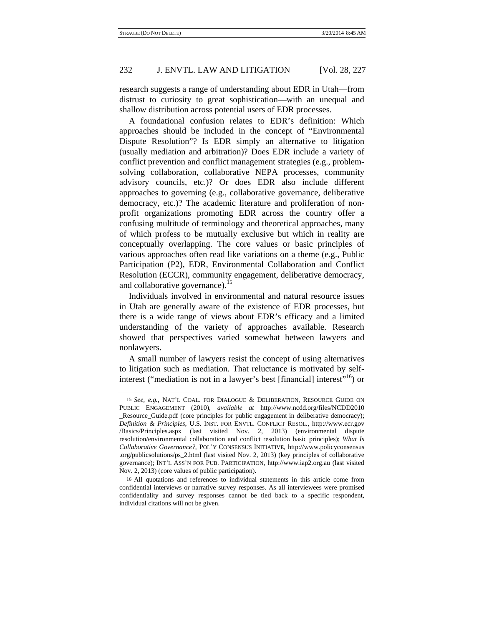research suggests a range of understanding about EDR in Utah—from distrust to curiosity to great sophistication—with an unequal and shallow distribution across potential users of EDR processes.

A foundational confusion relates to EDR's definition: Which approaches should be included in the concept of "Environmental Dispute Resolution"? Is EDR simply an alternative to litigation (usually mediation and arbitration)? Does EDR include a variety of conflict prevention and conflict management strategies (e.g., problemsolving collaboration, collaborative NEPA processes, community advisory councils, etc.)? Or does EDR also include different approaches to governing (e.g., collaborative governance, deliberative democracy, etc.)? The academic literature and proliferation of nonprofit organizations promoting EDR across the country offer a confusing multitude of terminology and theoretical approaches, many of which profess to be mutually exclusive but which in reality are conceptually overlapping. The core values or basic principles of various approaches often read like variations on a theme (e.g., Public Participation (P2), EDR, Environmental Collaboration and Conflict Resolution (ECCR), community engagement, deliberative democracy, and collaborative governance). $^{15}$ 

Individuals involved in environmental and natural resource issues in Utah are generally aware of the existence of EDR processes, but there is a wide range of views about EDR's efficacy and a limited understanding of the variety of approaches available. Research showed that perspectives varied somewhat between lawyers and nonlawyers.

A small number of lawyers resist the concept of using alternatives to litigation such as mediation. That reluctance is motivated by selfinterest ("mediation is not in a lawyer's best [financial] interest"<sup>16</sup>) or

<sup>15</sup> *See, e.g.*, NAT'L COAL. FOR DIALOGUE & DELIBERATION, RESOURCE GUIDE ON PUBLIC ENGAGEMENT (2010), *available at* http://www.ncdd.org/files/NCDD2010 \_Resource\_Guide.pdf (core principles for public engagement in deliberative democracy); *Definition & Principles*, U.S. INST. FOR ENVTL. CONFLICT RESOL., http://www.ecr.gov /Basics/Principles.aspx (last visited Nov. 2, 2013) (environmental dispute resolution/environmental collaboration and conflict resolution basic principles); *What Is Collaborative Governance?*, POL'Y CONSENSUS INITIATIVE, http://www.policyconsensus .org/publicsolutions/ps\_2.html (last visited Nov. 2, 2013) (key principles of collaborative governance); INT'L ASS'N FOR PUB. PARTICIPATION, http://www.iap2.org.au (last visited Nov. 2, 2013) (core values of public participation).

<sup>16</sup> All quotations and references to individual statements in this article come from confidential interviews or narrative survey responses. As all interviewees were promised confidentiality and survey responses cannot be tied back to a specific respondent, individual citations will not be given.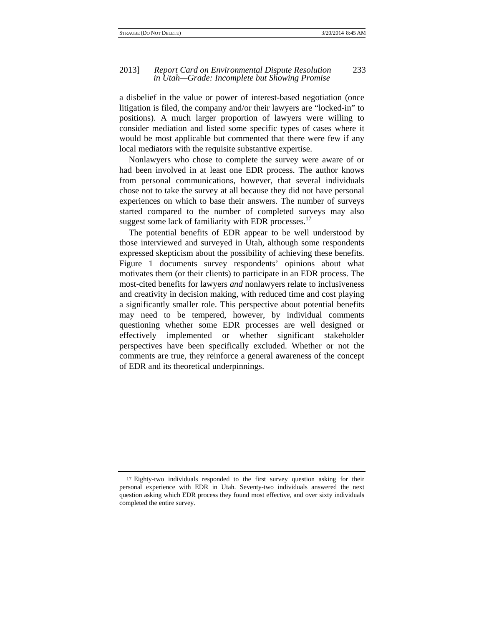#### 2013] *Report Card on Environmental Dispute Resolution* 233 *in Utah—Grade: Incomplete but Showing Promise*

a disbelief in the value or power of interest-based negotiation (once litigation is filed, the company and/or their lawyers are "locked-in" to positions). A much larger proportion of lawyers were willing to consider mediation and listed some specific types of cases where it would be most applicable but commented that there were few if any local mediators with the requisite substantive expertise.

Nonlawyers who chose to complete the survey were aware of or had been involved in at least one EDR process. The author knows from personal communications, however, that several individuals chose not to take the survey at all because they did not have personal experiences on which to base their answers. The number of surveys started compared to the number of completed surveys may also suggest some lack of familiarity with EDR processes.<sup>17</sup>

The potential benefits of EDR appear to be well understood by those interviewed and surveyed in Utah, although some respondents expressed skepticism about the possibility of achieving these benefits. Figure 1 documents survey respondents' opinions about what motivates them (or their clients) to participate in an EDR process. The most-cited benefits for lawyers *and* nonlawyers relate to inclusiveness and creativity in decision making, with reduced time and cost playing a significantly smaller role. This perspective about potential benefits may need to be tempered, however, by individual comments questioning whether some EDR processes are well designed or effectively implemented or whether significant stakeholder perspectives have been specifically excluded. Whether or not the comments are true, they reinforce a general awareness of the concept of EDR and its theoretical underpinnings.

<sup>17</sup> Eighty-two individuals responded to the first survey question asking for their personal experience with EDR in Utah. Seventy-two individuals answered the next question asking which EDR process they found most effective, and over sixty individuals completed the entire survey.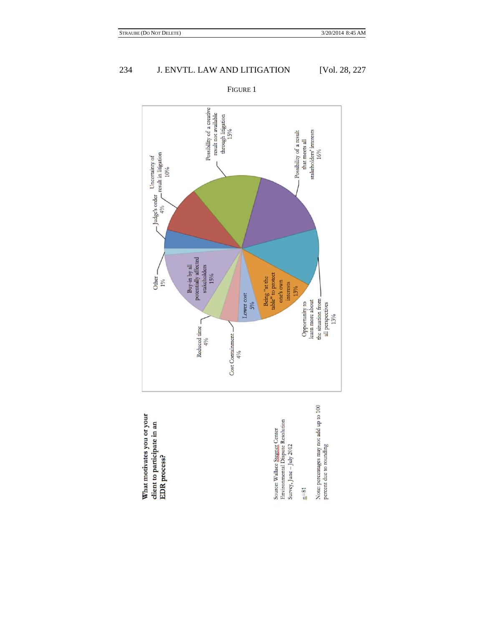

What motivates you or your client to participate in an EDR process?

Source: Wallace <u>Stegger</u>; Center<br>Environmental Dispute Resolution<br>Survey, June – July 2012

 $a=81$ 

Note: percentages may not add up to 100<br>percent due to rounding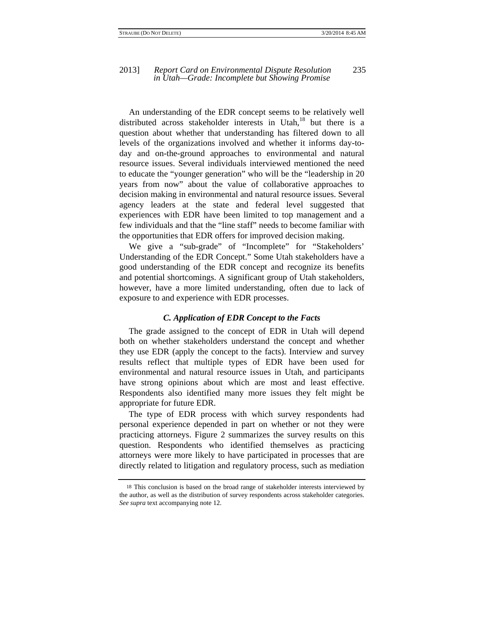An understanding of the EDR concept seems to be relatively well distributed across stakeholder interests in Utah, $^{18}$  but there is a question about whether that understanding has filtered down to all levels of the organizations involved and whether it informs day-today and on-the-ground approaches to environmental and natural resource issues. Several individuals interviewed mentioned the need to educate the "younger generation" who will be the "leadership in 20 years from now" about the value of collaborative approaches to decision making in environmental and natural resource issues. Several agency leaders at the state and federal level suggested that experiences with EDR have been limited to top management and a few individuals and that the "line staff" needs to become familiar with the opportunities that EDR offers for improved decision making.

We give a "sub-grade" of "Incomplete" for "Stakeholders' Understanding of the EDR Concept." Some Utah stakeholders have a good understanding of the EDR concept and recognize its benefits and potential shortcomings. A significant group of Utah stakeholders, however, have a more limited understanding, often due to lack of exposure to and experience with EDR processes.

#### *C. Application of EDR Concept to the Facts*

The grade assigned to the concept of EDR in Utah will depend both on whether stakeholders understand the concept and whether they use EDR (apply the concept to the facts). Interview and survey results reflect that multiple types of EDR have been used for environmental and natural resource issues in Utah, and participants have strong opinions about which are most and least effective. Respondents also identified many more issues they felt might be appropriate for future EDR.

The type of EDR process with which survey respondents had personal experience depended in part on whether or not they were practicing attorneys. Figure 2 summarizes the survey results on this question. Respondents who identified themselves as practicing attorneys were more likely to have participated in processes that are directly related to litigation and regulatory process, such as mediation

<sup>18</sup> This conclusion is based on the broad range of stakeholder interests interviewed by the author, as well as the distribution of survey respondents across stakeholder categories. *See supra* text accompanying note 12.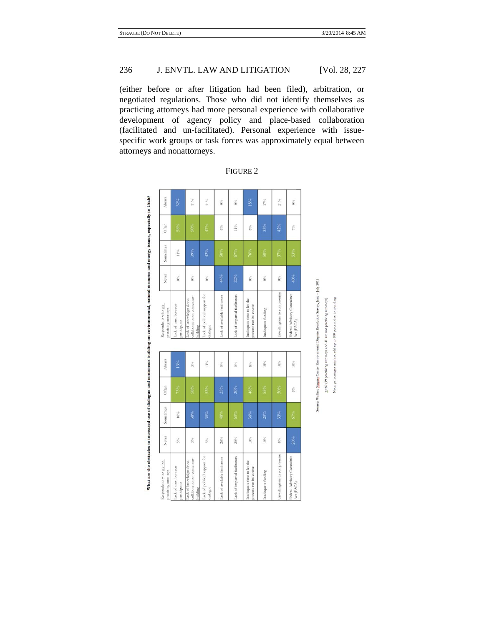(either before or after litigation had been filed), arbitration, or negotiated regulations. Those who did not identify themselves as practicing attorneys had more personal experience with collaborative development of agency policy and place-based collaboration (facilitated and un-facilitated). Personal experience with issuespecific work groups or task forces was approximately equal between attorneys and nonattorneys.

| Respondents who are not<br>practicing attorneys                    | Never  | Sometimes | Often  | Always | Respondents who are<br>practicing attorneys                        | Never | Sometimes | Often  | Always |
|--------------------------------------------------------------------|--------|-----------|--------|--------|--------------------------------------------------------------------|-------|-----------|--------|--------|
| Lack of trust between<br>participants                              | $5\%$  | $10\%$    | 73%    | 13%    | Lack of trust between<br>participants                              | $0\%$ | 11%       | 58%    | $32\%$ |
| collaboration or consensus-<br>Lack of knowledge about<br>building | $3\%$  | 38%       | 58%    | $3\%$  | collaboration or consensus-<br>Lack of knowledge about<br>building | $0\%$ | 39%       | 50%    | $11\%$ |
| Lack of political support for<br>dialogue                          | $5\%$  | $30\%$    | 53%    | $13\%$ | Lack of political support for<br>dialogue                          | $0\%$ | 42%       | 47%    | $11\%$ |
| Lack of available facilitators                                     | $28\%$ | 48%       | 25%    | $0\%$  | Lack of available facilitators                                     | 44%   | $50\%$    | $6\%$  | $0\%$  |
| Lack of impartial facilitators                                     | $20\%$ | 60%       | 20%    | $0\%$  | Lack of impartial facilitators                                     | 22%   | $67\%$    | $11\%$ | $0\%$  |
| Inadequate time to let the<br>process run its course               | $10\%$ | 36%       | 46%    | $8\%$  | Inadequate time to let the<br>process run its course               | $0\%$ | 76%       | $6\%$  | $18\%$ |
| Inadequate funding                                                 | $10\%$ | 20%       | $55\%$ | $15\%$ | Inadequate funding                                                 | $0\%$ | 50%       | 33%    | 17%    |
| Unwillingness to compromise                                        | $8\%$  | 33%       | 50%    | $10\%$ | Unwillingness to compromise                                        | $0\%$ | $37\%$    | 42%    | $21\%$ |
| Federal Advisory Committee<br>Act (FACA)                           | $20\%$ | 67%       | $3\%$  | $10\%$ | Federal Advisory Committee<br>Act (FACA)                           | 40%   | 53%       | $7\%$  | $0\%$  |

FIGURE 2

What are the obstacles to increased use of dialogue and consensus building on environmental, natural resource and energy issues, especially in Utah?

ntal Dispute Resolution Survey, June - July 2012

 $\mathfrak{g}\text{=}60$  (19 practicing attorneys and 41 are not practicing atto add

Note: percentage

Wallace Stegger Center Envi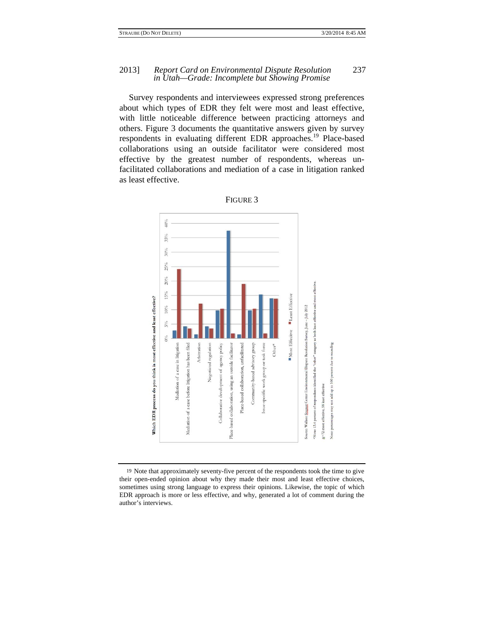#### 2013] *Report Card on Environmental Dispute Resolution* 237 *in Utah—Grade: Incomplete but Showing Promise*

Survey respondents and interviewees expressed strong preferences about which types of EDR they felt were most and least effective, with little noticeable difference between practicing attorneys and others. Figure 3 documents the quantitative answers given by survey respondents in evaluating different EDR approaches.<sup>19</sup> Place-based collaborations using an outside facilitator were considered most effective by the greatest number of respondents, whereas unfacilitated collaborations and mediation of a case in litigation ranked as least effective.



FIGURE 3

19 Note that approximately seventy-five percent of the respondents took the time to give their open-ended opinion about why they made their most and least effective choices, sometimes using strong language to express their opinions. Likewise, the topic of which EDR approach is more or less effective, and why, generated a lot of comment during the author's interviews.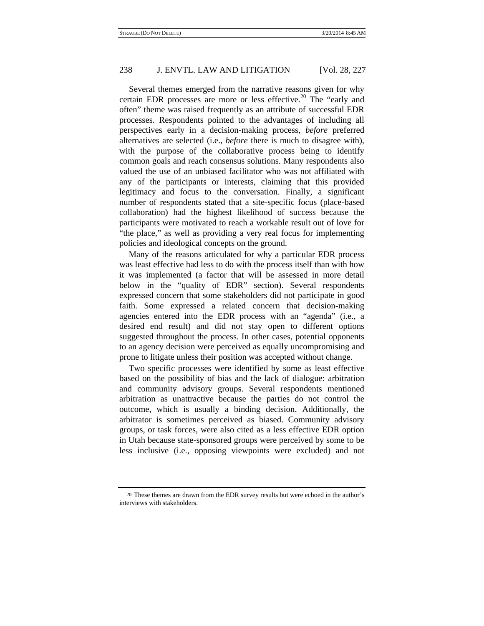Several themes emerged from the narrative reasons given for why certain EDR processes are more or less effective.<sup>20</sup> The "early and often" theme was raised frequently as an attribute of successful EDR processes. Respondents pointed to the advantages of including all perspectives early in a decision-making process, *before* preferred alternatives are selected (i.e., *before* there is much to disagree with), with the purpose of the collaborative process being to identify common goals and reach consensus solutions. Many respondents also valued the use of an unbiased facilitator who was not affiliated with any of the participants or interests, claiming that this provided legitimacy and focus to the conversation. Finally, a significant number of respondents stated that a site-specific focus (place-based collaboration) had the highest likelihood of success because the participants were motivated to reach a workable result out of love for "the place," as well as providing a very real focus for implementing policies and ideological concepts on the ground.

Many of the reasons articulated for why a particular EDR process was least effective had less to do with the process itself than with how it was implemented (a factor that will be assessed in more detail below in the "quality of EDR" section). Several respondents expressed concern that some stakeholders did not participate in good faith. Some expressed a related concern that decision-making agencies entered into the EDR process with an "agenda" (i.e., a desired end result) and did not stay open to different options suggested throughout the process. In other cases, potential opponents to an agency decision were perceived as equally uncompromising and prone to litigate unless their position was accepted without change.

Two specific processes were identified by some as least effective based on the possibility of bias and the lack of dialogue: arbitration and community advisory groups. Several respondents mentioned arbitration as unattractive because the parties do not control the outcome, which is usually a binding decision. Additionally, the arbitrator is sometimes perceived as biased. Community advisory groups, or task forces, were also cited as a less effective EDR option in Utah because state-sponsored groups were perceived by some to be less inclusive (i.e., opposing viewpoints were excluded) and not

<sup>20</sup> These themes are drawn from the EDR survey results but were echoed in the author's interviews with stakeholders.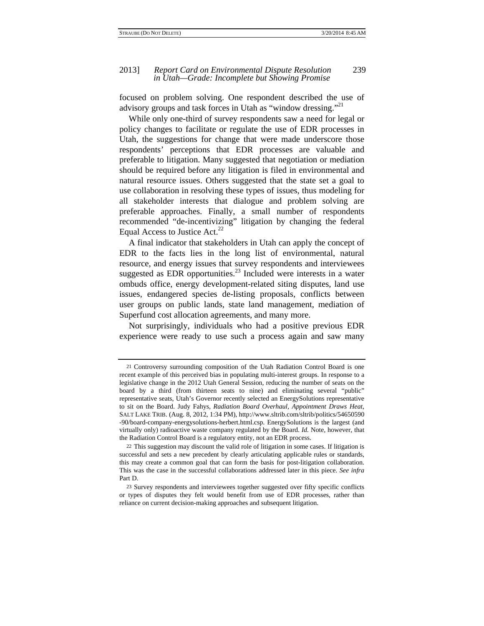focused on problem solving. One respondent described the use of advisory groups and task forces in Utah as "window dressing."<sup>21</sup>

While only one-third of survey respondents saw a need for legal or policy changes to facilitate or regulate the use of EDR processes in Utah, the suggestions for change that were made underscore those respondents' perceptions that EDR processes are valuable and preferable to litigation. Many suggested that negotiation or mediation should be required before any litigation is filed in environmental and natural resource issues. Others suggested that the state set a goal to use collaboration in resolving these types of issues, thus modeling for all stakeholder interests that dialogue and problem solving are preferable approaches. Finally, a small number of respondents recommended "de-incentivizing" litigation by changing the federal Equal Access to Justice Act. $^{22}$ 

A final indicator that stakeholders in Utah can apply the concept of EDR to the facts lies in the long list of environmental, natural resource, and energy issues that survey respondents and interviewees suggested as EDR opportunities.<sup>23</sup> Included were interests in a water ombuds office, energy development-related siting disputes, land use issues, endangered species de-listing proposals, conflicts between user groups on public lands, state land management, mediation of Superfund cost allocation agreements, and many more.

Not surprisingly, individuals who had a positive previous EDR experience were ready to use such a process again and saw many

<sup>21</sup> Controversy surrounding composition of the Utah Radiation Control Board is one recent example of this perceived bias in populating multi-interest groups. In response to a legislative change in the 2012 Utah General Session, reducing the number of seats on the board by a third (from thirteen seats to nine) and eliminating several "public" representative seats, Utah's Governor recently selected an EnergySolutions representative to sit on the Board. Judy Fahys, *Radiation Board Overhaul, Appointment Draws Heat*, SALT LAKE TRIB. (Aug. 8, 2012, 1:34 PM), http://www.sltrib.com/sltrib/politics/54650590 -90/board-company-energysolutions-herbert.html.csp. EnergySolutions is the largest (and virtually only) radioactive waste company regulated by the Board. *Id.* Note, however, that the Radiation Control Board is a regulatory entity, not an EDR process.

<sup>22</sup> This suggestion may discount the valid role of litigation in some cases. If litigation is successful and sets a new precedent by clearly articulating applicable rules or standards, this may create a common goal that can form the basis for post-litigation collaboration. This was the case in the successful collaborations addressed later in this piece. *See infra* Part D.

<sup>23</sup> Survey respondents and interviewees together suggested over fifty specific conflicts or types of disputes they felt would benefit from use of EDR processes, rather than reliance on current decision-making approaches and subsequent litigation.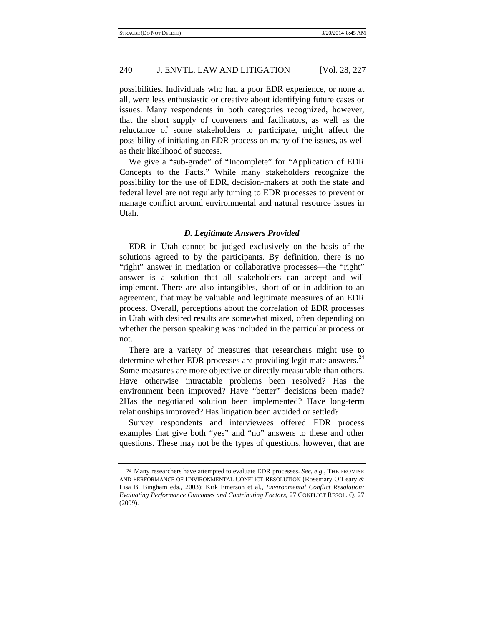possibilities. Individuals who had a poor EDR experience, or none at all, were less enthusiastic or creative about identifying future cases or issues. Many respondents in both categories recognized, however, that the short supply of conveners and facilitators, as well as the reluctance of some stakeholders to participate, might affect the possibility of initiating an EDR process on many of the issues, as well as their likelihood of success.

We give a "sub-grade" of "Incomplete" for "Application of EDR Concepts to the Facts." While many stakeholders recognize the possibility for the use of EDR, decision-makers at both the state and federal level are not regularly turning to EDR processes to prevent or manage conflict around environmental and natural resource issues in Utah.

#### *D. Legitimate Answers Provided*

EDR in Utah cannot be judged exclusively on the basis of the solutions agreed to by the participants. By definition, there is no "right" answer in mediation or collaborative processes—the "right" answer is a solution that all stakeholders can accept and will implement. There are also intangibles, short of or in addition to an agreement, that may be valuable and legitimate measures of an EDR process. Overall, perceptions about the correlation of EDR processes in Utah with desired results are somewhat mixed, often depending on whether the person speaking was included in the particular process or not.

There are a variety of measures that researchers might use to determine whether EDR processes are providing legitimate answers. $^{24}$ Some measures are more objective or directly measurable than others. Have otherwise intractable problems been resolved? Has the environment been improved? Have "better" decisions been made? 2Has the negotiated solution been implemented? Have long-term relationships improved? Has litigation been avoided or settled?

Survey respondents and interviewees offered EDR process examples that give both "yes" and "no" answers to these and other questions. These may not be the types of questions, however, that are

<sup>24</sup> Many researchers have attempted to evaluate EDR processes. *See, e.g.*, THE PROMISE AND PERFORMANCE OF ENVIRONMENTAL CONFLICT RESOLUTION (Rosemary O'Leary & Lisa B. Bingham eds., 2003); Kirk Emerson et al., *Environmental Conflict Resolution: Evaluating Performance Outcomes and Contributing Factors*, 27 CONFLICT RESOL. Q. 27 (2009).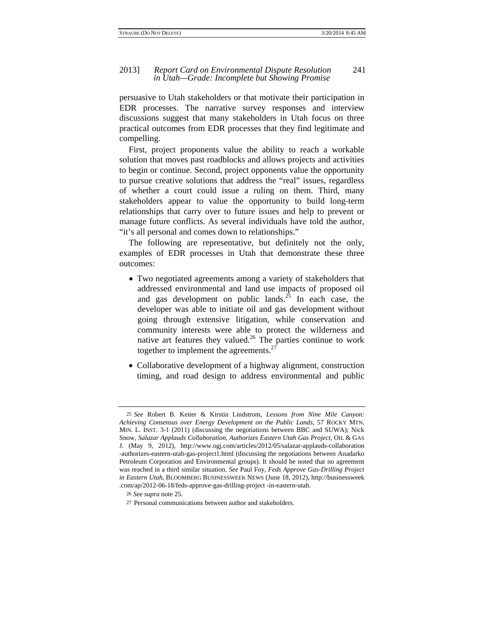#### 2013] *Report Card on Environmental Dispute Resolution* 241 *in Utah—Grade: Incomplete but Showing Promise*

persuasive to Utah stakeholders or that motivate their participation in EDR processes. The narrative survey responses and interview discussions suggest that many stakeholders in Utah focus on three practical outcomes from EDR processes that they find legitimate and compelling.

First, project proponents value the ability to reach a workable solution that moves past roadblocks and allows projects and activities to begin or continue. Second, project opponents value the opportunity to pursue creative solutions that address the "real" issues, regardless of whether a court could issue a ruling on them. Third, many stakeholders appear to value the opportunity to build long-term relationships that carry over to future issues and help to prevent or manage future conflicts. As several individuals have told the author, "it's all personal and comes down to relationships."

The following are representative, but definitely not the only, examples of EDR processes in Utah that demonstrate these three outcomes:

- Two negotiated agreements among a variety of stakeholders that addressed environmental and land use impacts of proposed oil and gas development on public lands.<sup>25</sup> In each case, the developer was able to initiate oil and gas development without going through extensive litigation, while conservation and community interests were able to protect the wilderness and native art features they valued.<sup>26</sup> The parties continue to work together to implement the agreements. $27$
- Collaborative development of a highway alignment, construction timing, and road design to address environmental and public

<sup>25</sup> *See* Robert B. Keiter & Kirstin Lindstrom, *Lessons from Nine Mile Canyon: Achieving Consensus over Energy Development on the Public Lands*, 57 ROCKY MTN. MIN. L. INST. 3-1 (2011) (discussing the negotiations between BBC and SUWA); Nick Snow, *Salazar Applauds Collaboration, Authorizes Eastern Utah Gas Project*, OIL & GAS J. (May 9, 2012), http://www.ogj.com/articles/2012/05/salazar-applauds-collaboration -authorizes-eastern-utah-gas-project1.html (discussing the negotiations between Anadarko Petroleum Corporation and Environmental groups). It should be noted that no agreement was reached in a third similar situation. *See* Paul Foy, *Feds Approve Gas-Drilling Project in Eastern Utah*, BLOOMBERG BUSINESSWEEK NEWS (June 18, 2012), http://businessweek .com/ap/2012-06-18/feds-approve-gas-drilling-project -in-eastern-utah.

<sup>26</sup> *See supra* note 25.

<sup>27</sup> Personal communications between author and stakeholders.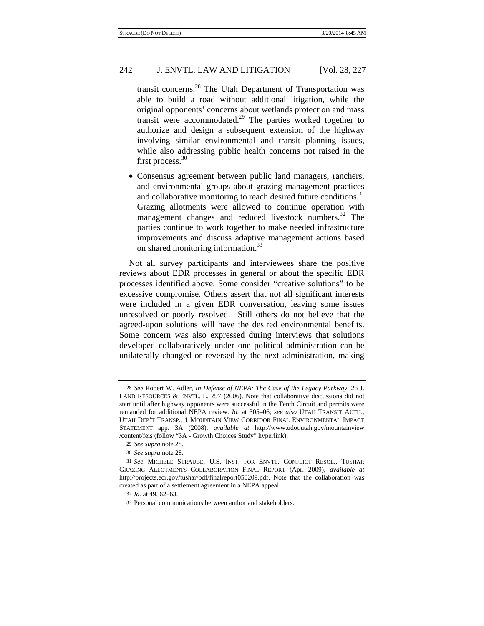transit concerns.28 The Utah Department of Transportation was able to build a road without additional litigation, while the original opponents' concerns about wetlands protection and mass transit were accommodated.29 The parties worked together to authorize and design a subsequent extension of the highway involving similar environmental and transit planning issues, while also addressing public health concerns not raised in the first process.<sup>30</sup>

 Consensus agreement between public land managers, ranchers, and environmental groups about grazing management practices and collaborative monitoring to reach desired future conditions.<sup>31</sup> Grazing allotments were allowed to continue operation with management changes and reduced livestock numbers.<sup>32</sup> The parties continue to work together to make needed infrastructure improvements and discuss adaptive management actions based on shared monitoring information.<sup>33</sup>

Not all survey participants and interviewees share the positive reviews about EDR processes in general or about the specific EDR processes identified above. Some consider "creative solutions" to be excessive compromise. Others assert that not all significant interests were included in a given EDR conversation, leaving some issues unresolved or poorly resolved. Still others do not believe that the agreed-upon solutions will have the desired environmental benefits. Some concern was also expressed during interviews that solutions developed collaboratively under one political administration can be unilaterally changed or reversed by the next administration, making

<sup>28</sup> *See* Robert W. Adler, *In Defense of NEPA: The Case of the Legacy Parkway*, 26 J. LAND RESOURCES & ENVTL. L. 297 (2006). Note that collaborative discussions did not start until after highway opponents were successful in the Tenth Circuit and permits were remanded for additional NEPA review. *Id.* at 305–06; *see also* UTAH TRANSIT AUTH., UTAH DEP'T TRANSP., 1 MOUNTAIN VIEW CORRIDOR FINAL ENVIRONMENTAL IMPACT STATEMENT app. 3A (2008), *available at* http://www.udot.utah.gov/mountainview /content/feis (follow "3A - Growth Choices Study" hyperlink).

<sup>29</sup> *See supra* note 28.

<sup>30</sup> *See supra* note 28.

<sup>31</sup> *See* MICHELE STRAUBE, U.S. INST. FOR ENVTL. CONFLICT RESOL., TUSHAR GRAZING ALLOTMENTS COLLABORATION FINAL REPORT (Apr. 2009), *available at* http://projects.ecr.gov/tushar/pdf/finalreport050209.pdf. Note that the collaboration was created as part of a settlement agreement in a NEPA appeal.

<sup>32</sup> *Id.* at 49, 62–63.

<sup>33</sup> Personal communications between author and stakeholders.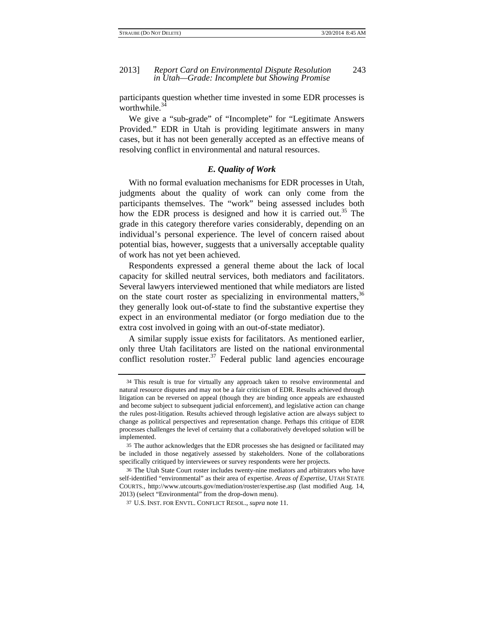participants question whether time invested in some EDR processes is worthwhile. $3\overline{4}$ 

We give a "sub-grade" of "Incomplete" for "Legitimate Answers Provided." EDR in Utah is providing legitimate answers in many cases, but it has not been generally accepted as an effective means of resolving conflict in environmental and natural resources.

#### *E. Quality of Work*

With no formal evaluation mechanisms for EDR processes in Utah, judgments about the quality of work can only come from the participants themselves. The "work" being assessed includes both how the EDR process is designed and how it is carried out.<sup>35</sup> The grade in this category therefore varies considerably, depending on an individual's personal experience. The level of concern raised about potential bias, however, suggests that a universally acceptable quality of work has not yet been achieved.

Respondents expressed a general theme about the lack of local capacity for skilled neutral services, both mediators and facilitators. Several lawyers interviewed mentioned that while mediators are listed on the state court roster as specializing in environmental matters,  $36$ they generally look out-of-state to find the substantive expertise they expect in an environmental mediator (or forgo mediation due to the extra cost involved in going with an out-of-state mediator).

A similar supply issue exists for facilitators. As mentioned earlier, only three Utah facilitators are listed on the national environmental conflict resolution roster.<sup>37</sup> Federal public land agencies encourage

<sup>34</sup> This result is true for virtually any approach taken to resolve environmental and natural resource disputes and may not be a fair criticism of EDR. Results achieved through litigation can be reversed on appeal (though they are binding once appeals are exhausted and become subject to subsequent judicial enforcement), and legislative action can change the rules post-litigation. Results achieved through legislative action are always subject to change as political perspectives and representation change. Perhaps this critique of EDR processes challenges the level of certainty that a collaboratively developed solution will be implemented.

<sup>35</sup> The author acknowledges that the EDR processes she has designed or facilitated may be included in those negatively assessed by stakeholders. None of the collaborations specifically critiqued by interviewees or survey respondents were her projects.

<sup>36</sup> The Utah State Court roster includes twenty-nine mediators and arbitrators who have self-identified "environmental" as their area of expertise. *Areas of Expertise*, UTAH STATE COURTS., http://www.utcourts.gov/mediation/roster/expertise.asp (last modified Aug. 14, 2013) (select "Environmental" from the drop-down menu).

<sup>37</sup> U.S. INST. FOR ENVTL. CONFLICT RESOL., *supra* note 11.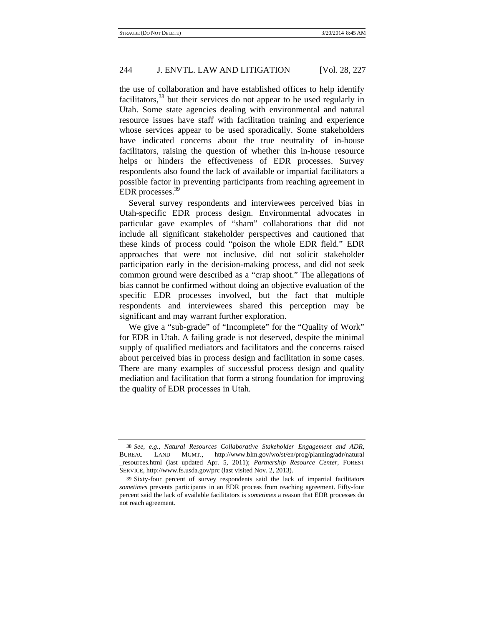the use of collaboration and have established offices to help identify facilitators,  $38$  but their services do not appear to be used regularly in Utah. Some state agencies dealing with environmental and natural resource issues have staff with facilitation training and experience whose services appear to be used sporadically. Some stakeholders have indicated concerns about the true neutrality of in-house facilitators, raising the question of whether this in-house resource helps or hinders the effectiveness of EDR processes. Survey respondents also found the lack of available or impartial facilitators a possible factor in preventing participants from reaching agreement in EDR processes.<sup>39</sup>

Several survey respondents and interviewees perceived bias in Utah-specific EDR process design. Environmental advocates in particular gave examples of "sham" collaborations that did not include all significant stakeholder perspectives and cautioned that these kinds of process could "poison the whole EDR field." EDR approaches that were not inclusive, did not solicit stakeholder participation early in the decision-making process, and did not seek common ground were described as a "crap shoot." The allegations of bias cannot be confirmed without doing an objective evaluation of the specific EDR processes involved, but the fact that multiple respondents and interviewees shared this perception may be significant and may warrant further exploration.

We give a "sub-grade" of "Incomplete" for the "Quality of Work" for EDR in Utah. A failing grade is not deserved, despite the minimal supply of qualified mediators and facilitators and the concerns raised about perceived bias in process design and facilitation in some cases. There are many examples of successful process design and quality mediation and facilitation that form a strong foundation for improving the quality of EDR processes in Utah.

<sup>38</sup> *See, e.g.*, *Natural Resources Collaborative Stakeholder Engagement and ADR*, BUREAU LAND MGMT., http://www.blm.gov/wo/st/en/prog/planning/adr/natural \_resources.html (last updated Apr. 5, 2011); *Partnership Resource Center*, FOREST SERVICE, http://www.fs.usda.gov/prc (last visited Nov. 2, 2013).

<sup>39</sup> Sixty-four percent of survey respondents said the lack of impartial facilitators *sometimes* prevents participants in an EDR process from reaching agreement. Fifty-four percent said the lack of available facilitators is *sometimes* a reason that EDR processes do not reach agreement.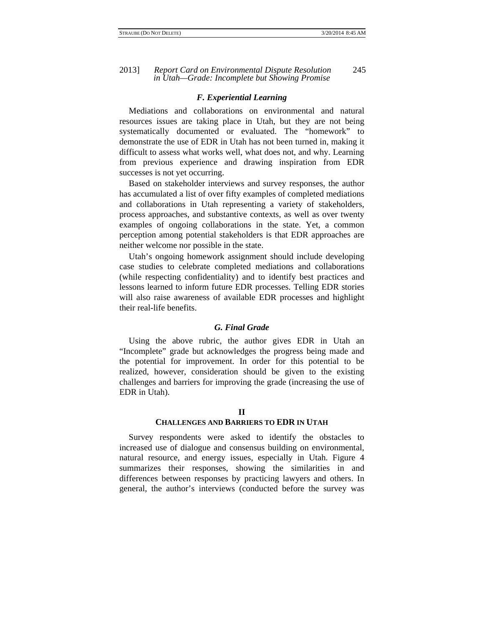#### *F. Experiential Learning*

Mediations and collaborations on environmental and natural resources issues are taking place in Utah, but they are not being systematically documented or evaluated. The "homework" to demonstrate the use of EDR in Utah has not been turned in, making it difficult to assess what works well, what does not, and why. Learning from previous experience and drawing inspiration from EDR successes is not yet occurring.

Based on stakeholder interviews and survey responses, the author has accumulated a list of over fifty examples of completed mediations and collaborations in Utah representing a variety of stakeholders, process approaches, and substantive contexts, as well as over twenty examples of ongoing collaborations in the state. Yet, a common perception among potential stakeholders is that EDR approaches are neither welcome nor possible in the state.

Utah's ongoing homework assignment should include developing case studies to celebrate completed mediations and collaborations (while respecting confidentiality) and to identify best practices and lessons learned to inform future EDR processes. Telling EDR stories will also raise awareness of available EDR processes and highlight their real-life benefits.

#### *G. Final Grade*

Using the above rubric, the author gives EDR in Utah an "Incomplete" grade but acknowledges the progress being made and the potential for improvement. In order for this potential to be realized, however, consideration should be given to the existing challenges and barriers for improving the grade (increasing the use of EDR in Utah).

#### **II**

#### **CHALLENGES AND BARRIERS TO EDR IN UTAH**

Survey respondents were asked to identify the obstacles to increased use of dialogue and consensus building on environmental, natural resource, and energy issues, especially in Utah. Figure 4 summarizes their responses, showing the similarities in and differences between responses by practicing lawyers and others. In general, the author's interviews (conducted before the survey was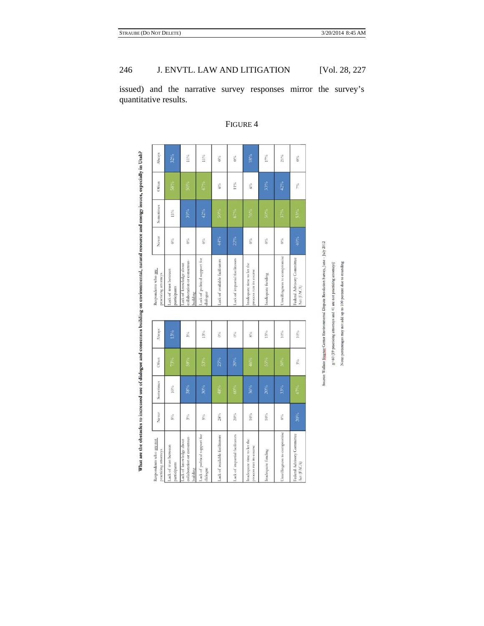issued) and the narrative survey responses mirror the survey's quantitative results.

| Always                                          | $32\%$                                | $11\%$                                                             | 11%                                       | $0\%$                          | $0\%$                          | 18%                                                  | 17%                | $21\%$                      | $0\%$                                    |
|-------------------------------------------------|---------------------------------------|--------------------------------------------------------------------|-------------------------------------------|--------------------------------|--------------------------------|------------------------------------------------------|--------------------|-----------------------------|------------------------------------------|
| Often                                           | 58%                                   | 50%                                                                | 47%                                       | $6\%$                          | 11%                            | $6\%$                                                | 33%                | 42%                         | 70/6                                     |
| Sometimes                                       | $11\%$                                | 39%                                                                | 42%                                       | 50%                            | $67\%$                         | 76%                                                  | 50%                | $37\%$                      | $53\%$                                   |
| Never                                           | $0\%$                                 | $0\%$                                                              | $0\%$                                     | 44%                            | 22%                            | $0\%$                                                | $0\%$              | $0\%$                       | 40%                                      |
| Respondents who are<br>practicing attorneys     | Lack of trust between<br>participants | collaboration or consensus-<br>Lack of knowledge about<br>building | Lack of political support for<br>dialogue | Lack of available facilitators | Lack of impartial facilitators | Inadequate time to let the<br>process run its course | Inadequate funding | Unwillingness to compromise | Federal Advisory Committee<br>Act (FACA) |
|                                                 |                                       |                                                                    |                                           |                                |                                |                                                      |                    |                             |                                          |
| Always                                          | 13%                                   | $3\%$                                                              | $13\%$                                    | $0\%$                          | $0\%$                          | $8\%$                                                | 15%                | $10\%$                      | $10\%$                                   |
| Often                                           | 73%                                   | 58%                                                                | 53%                                       | 25%                            | $20\%$                         | 46%                                                  | $55\%$             | 50%                         | $3\%$                                    |
| Sometimes                                       | $10\%$                                | 38%                                                                | 30%                                       | 48%                            | $60\%$                         | 36%                                                  | $20\%$             | 33%                         | $67\%$                                   |
| Never                                           | $5\%$                                 | $3\%$                                                              | $S^0/\alpha$                              | 28%                            | $20\%$                         | $10\%$                                               | $10\%$             | $9/6$                       | 20%                                      |
| kespondents who are not<br>oracticing attorneys | ack of trust between<br>participants  | collaboration or consensus-<br>ack of knowledge about<br>auilding  | ack of political support for<br>fialogue  | ack of available facilitators  | ack of impartial facilitators  | inadequate time to let the<br>orocess run its course | nadequate funding  | Jawilingness to compromise  | 'ederal Advisory Committee<br>let (FACA) |

FIGURE 4

imental Dispute Resolution Survey, June - July 2012 Source: Wallace Stegger Center Enviro

 $_{\rm ncys)}$  $\mathfrak{g}\text{=60}$  (19 practicing attorneys and 41 are not practicing attor

Note: percentages may not add up to 100 percent due

anding

What are the obstacles to increased use of dialogue and consensus building on environmental, natural resource and energy issues, especially in Utah?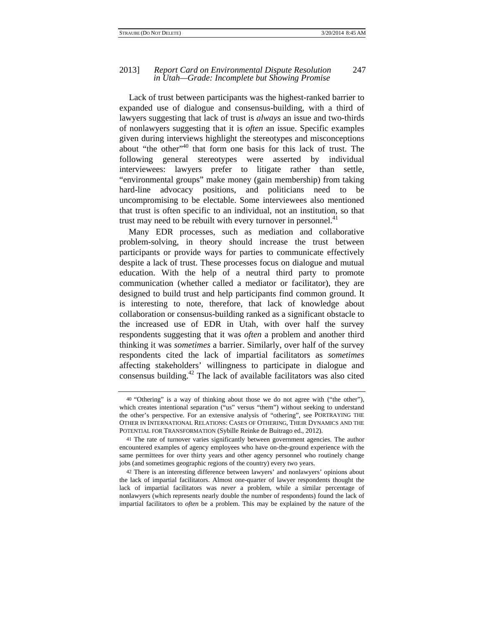#### 2013] *Report Card on Environmental Dispute Resolution* 247 *in Utah—Grade: Incomplete but Showing Promise*

Lack of trust between participants was the highest-ranked barrier to expanded use of dialogue and consensus-building, with a third of lawyers suggesting that lack of trust is *always* an issue and two-thirds of nonlawyers suggesting that it is *often* an issue. Specific examples given during interviews highlight the stereotypes and misconceptions about "the other"<sup>40</sup> that form one basis for this lack of trust. The following general stereotypes were asserted by individual interviewees: lawyers prefer to litigate rather than settle, "environmental groups" make money (gain membership) from taking hard-line advocacy positions, and politicians need to be uncompromising to be electable. Some interviewees also mentioned that trust is often specific to an individual, not an institution, so that trust may need to be rebuilt with every turnover in personnel.<sup>41</sup>

Many EDR processes, such as mediation and collaborative problem-solving, in theory should increase the trust between participants or provide ways for parties to communicate effectively despite a lack of trust. These processes focus on dialogue and mutual education. With the help of a neutral third party to promote communication (whether called a mediator or facilitator), they are designed to build trust and help participants find common ground. It is interesting to note, therefore, that lack of knowledge about collaboration or consensus-building ranked as a significant obstacle to the increased use of EDR in Utah, with over half the survey respondents suggesting that it was *often* a problem and another third thinking it was *sometimes* a barrier. Similarly, over half of the survey respondents cited the lack of impartial facilitators as *sometimes* affecting stakeholders' willingness to participate in dialogue and consensus building. $42$  The lack of available facilitators was also cited

<sup>40</sup> "Othering" is a way of thinking about those we do not agree with ("the other"), which creates intentional separation ("us" versus "them") without seeking to understand the other's perspective. For an extensive analysis of "othering", see PORTRAYING THE OTHER IN INTERNATIONAL RELATIONS: CASES OF OTHERING, THEIR DYNAMICS AND THE POTENTIAL FOR TRANSFORMATION (Sybille Reinke de Buitrago ed., 2012).

<sup>41</sup> The rate of turnover varies significantly between government agencies. The author encountered examples of agency employees who have on-the-ground experience with the same permittees for over thirty years and other agency personnel who routinely change jobs (and sometimes geographic regions of the country) every two years.

<sup>42</sup> There is an interesting difference between lawyers' and nonlawyers' opinions about the lack of impartial facilitators. Almost one-quarter of lawyer respondents thought the lack of impartial facilitators was *never* a problem, while a similar percentage of nonlawyers (which represents nearly double the number of respondents) found the lack of impartial facilitators to *often* be a problem. This may be explained by the nature of the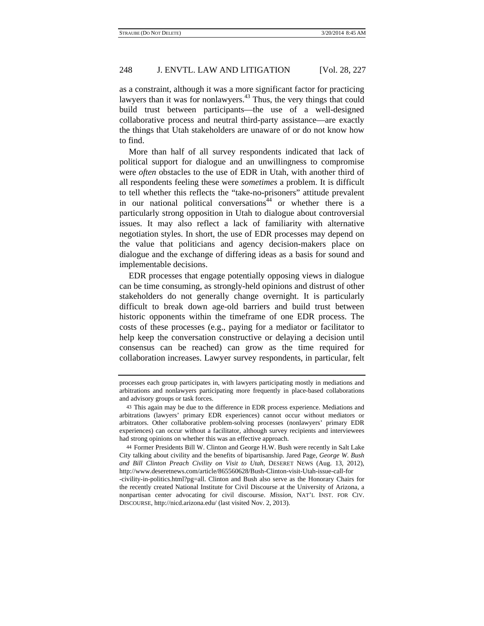as a constraint, although it was a more significant factor for practicing lawyers than it was for nonlawyers. $43$  Thus, the very things that could build trust between participants—the use of a well-designed collaborative process and neutral third-party assistance—are exactly the things that Utah stakeholders are unaware of or do not know how to find.

More than half of all survey respondents indicated that lack of political support for dialogue and an unwillingness to compromise were *often* obstacles to the use of EDR in Utah, with another third of all respondents feeling these were *sometimes* a problem. It is difficult to tell whether this reflects the "take-no-prisoners" attitude prevalent in our national political conversations<sup> $44$ </sup> or whether there is a particularly strong opposition in Utah to dialogue about controversial issues. It may also reflect a lack of familiarity with alternative negotiation styles. In short, the use of EDR processes may depend on the value that politicians and agency decision-makers place on dialogue and the exchange of differing ideas as a basis for sound and implementable decisions.

EDR processes that engage potentially opposing views in dialogue can be time consuming, as strongly-held opinions and distrust of other stakeholders do not generally change overnight. It is particularly difficult to break down age-old barriers and build trust between historic opponents within the timeframe of one EDR process. The costs of these processes (e.g., paying for a mediator or facilitator to help keep the conversation constructive or delaying a decision until consensus can be reached) can grow as the time required for collaboration increases. Lawyer survey respondents, in particular, felt

44 Former Presidents Bill W. Clinton and George H.W. Bush were recently in Salt Lake City talking about civility and the benefits of bipartisanship. Jared Page, *George W. Bush and Bill Clinton Preach Civility on Visit to Utah*, DESERET NEWS (Aug. 13, 2012), http://www.deseretnews.com/article/865560628/Bush-Clinton-visit-Utah-issue-call-for -civility-in-politics.html?pg=all. Clinton and Bush also serve as the Honorary Chairs for the recently created National Institute for Civil Discourse at the University of Arizona, a nonpartisan center advocating for civil discourse. *Mission*, NAT'L INST. FOR CIV. DISCOURSE, http://nicd.arizona.edu/ (last visited Nov. 2, 2013).

processes each group participates in, with lawyers participating mostly in mediations and arbitrations and nonlawyers participating more frequently in place-based collaborations and advisory groups or task forces.

<sup>43</sup> This again may be due to the difference in EDR process experience. Mediations and arbitrations (lawyers' primary EDR experiences) cannot occur without mediators or arbitrators. Other collaborative problem-solving processes (nonlawyers' primary EDR experiences) can occur without a facilitator, although survey recipients and interviewees had strong opinions on whether this was an effective approach.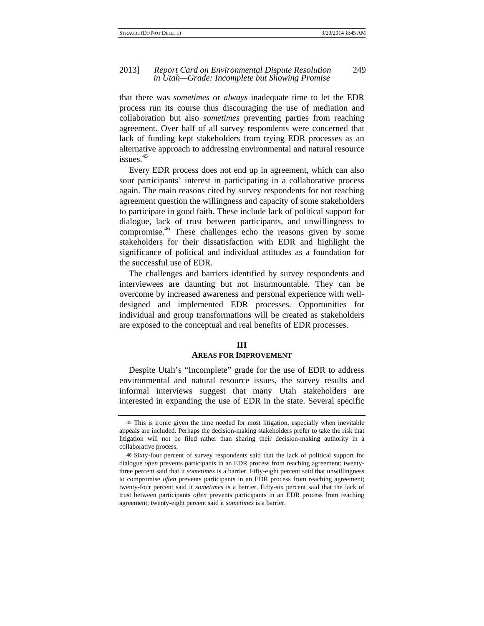#### 2013] *Report Card on Environmental Dispute Resolution* 249 *in Utah—Grade: Incomplete but Showing Promise*

that there was *sometimes* or *always* inadequate time to let the EDR process run its course thus discouraging the use of mediation and collaboration but also *sometimes* preventing parties from reaching agreement. Over half of all survey respondents were concerned that lack of funding kept stakeholders from trying EDR processes as an alternative approach to addressing environmental and natural resource issues.<sup>45</sup>

Every EDR process does not end up in agreement, which can also sour participants' interest in participating in a collaborative process again. The main reasons cited by survey respondents for not reaching agreement question the willingness and capacity of some stakeholders to participate in good faith. These include lack of political support for dialogue, lack of trust between participants, and unwillingness to compromise. $46$  These challenges echo the reasons given by some stakeholders for their dissatisfaction with EDR and highlight the significance of political and individual attitudes as a foundation for the successful use of EDR.

The challenges and barriers identified by survey respondents and interviewees are daunting but not insurmountable. They can be overcome by increased awareness and personal experience with welldesigned and implemented EDR processes. Opportunities for individual and group transformations will be created as stakeholders are exposed to the conceptual and real benefits of EDR processes.

#### **III**

#### **AREAS FOR IMPROVEMENT**

Despite Utah's "Incomplete" grade for the use of EDR to address environmental and natural resource issues, the survey results and informal interviews suggest that many Utah stakeholders are interested in expanding the use of EDR in the state. Several specific

<sup>45</sup> This is ironic given the time needed for most litigation, especially when inevitable appeals are included. Perhaps the decision-making stakeholders prefer to take the risk that litigation will not be filed rather than sharing their decision-making authority in a collaborative process.

<sup>46</sup> Sixty-four percent of survey respondents said that the lack of political support for dialogue *often* prevents participants in an EDR process from reaching agreement; twentythree percent said that it *sometimes* is a barrier. Fifty-eight percent said that unwillingness to compromise *often* prevents participants in an EDR process from reaching agreement; twenty-four percent said it *sometimes* is a barrier. Fifty-six percent said that the lack of trust between participants *often* prevents participants in an EDR process from reaching agreement; twenty-eight percent said it *sometimes* is a barrier.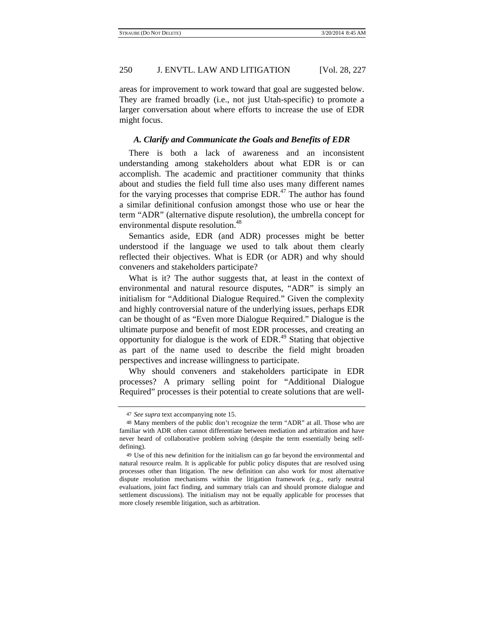areas for improvement to work toward that goal are suggested below. They are framed broadly (i.e., not just Utah-specific) to promote a larger conversation about where efforts to increase the use of EDR might focus.

#### *A. Clarify and Communicate the Goals and Benefits of EDR*

There is both a lack of awareness and an inconsistent understanding among stakeholders about what EDR is or can accomplish. The academic and practitioner community that thinks about and studies the field full time also uses many different names for the varying processes that comprise  $EDR<sup>47</sup>$ . The author has found a similar definitional confusion amongst those who use or hear the term "ADR" (alternative dispute resolution), the umbrella concept for environmental dispute resolution.<sup>48</sup>

Semantics aside, EDR (and ADR) processes might be better understood if the language we used to talk about them clearly reflected their objectives. What is EDR (or ADR) and why should conveners and stakeholders participate?

What is it? The author suggests that, at least in the context of environmental and natural resource disputes, "ADR" is simply an initialism for "Additional Dialogue Required." Given the complexity and highly controversial nature of the underlying issues, perhaps EDR can be thought of as "Even more Dialogue Required." Dialogue is the ultimate purpose and benefit of most EDR processes, and creating an opportunity for dialogue is the work of  $EDR<sup>49</sup>$  Stating that objective as part of the name used to describe the field might broaden perspectives and increase willingness to participate.

Why should conveners and stakeholders participate in EDR processes? A primary selling point for "Additional Dialogue Required" processes is their potential to create solutions that are well-

<sup>47</sup> *See supra* text accompanying note 15.

<sup>48</sup> Many members of the public don't recognize the term "ADR" at all. Those who are familiar with ADR often cannot differentiate between mediation and arbitration and have never heard of collaborative problem solving (despite the term essentially being selfdefining).

<sup>49</sup> Use of this new definition for the initialism can go far beyond the environmental and natural resource realm. It is applicable for public policy disputes that are resolved using processes other than litigation. The new definition can also work for most alternative dispute resolution mechanisms within the litigation framework (e.g., early neutral evaluations, joint fact finding, and summary trials can and should promote dialogue and settlement discussions). The initialism may not be equally applicable for processes that more closely resemble litigation, such as arbitration.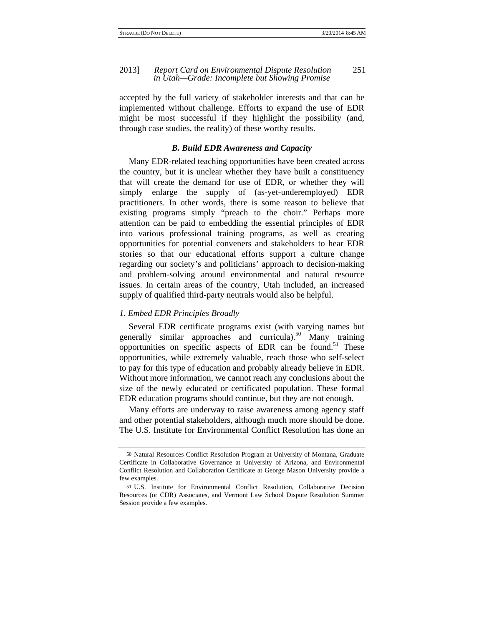#### 2013] *Report Card on Environmental Dispute Resolution* 251 *in Utah—Grade: Incomplete but Showing Promise*

accepted by the full variety of stakeholder interests and that can be implemented without challenge. Efforts to expand the use of EDR might be most successful if they highlight the possibility (and, through case studies, the reality) of these worthy results.

#### *B. Build EDR Awareness and Capacity*

Many EDR-related teaching opportunities have been created across the country, but it is unclear whether they have built a constituency that will create the demand for use of EDR, or whether they will simply enlarge the supply of (as-yet-underemployed) EDR practitioners. In other words, there is some reason to believe that existing programs simply "preach to the choir." Perhaps more attention can be paid to embedding the essential principles of EDR into various professional training programs, as well as creating opportunities for potential conveners and stakeholders to hear EDR stories so that our educational efforts support a culture change regarding our society's and politicians' approach to decision-making and problem-solving around environmental and natural resource issues. In certain areas of the country, Utah included, an increased supply of qualified third-party neutrals would also be helpful.

#### *1. Embed EDR Principles Broadly*

Several EDR certificate programs exist (with varying names but generally similar approaches and curricula).<sup>50</sup> Many training opportunities on specific aspects of EDR can be found.<sup>51</sup> These opportunities, while extremely valuable, reach those who self-select to pay for this type of education and probably already believe in EDR. Without more information, we cannot reach any conclusions about the size of the newly educated or certificated population. These formal EDR education programs should continue, but they are not enough.

Many efforts are underway to raise awareness among agency staff and other potential stakeholders, although much more should be done. The U.S. Institute for Environmental Conflict Resolution has done an

<sup>50</sup> Natural Resources Conflict Resolution Program at University of Montana, Graduate Certificate in Collaborative Governance at University of Arizona, and Environmental Conflict Resolution and Collaboration Certificate at George Mason University provide a few examples.

<sup>51</sup> U.S. Institute for Environmental Conflict Resolution, Collaborative Decision Resources (or CDR) Associates, and Vermont Law School Dispute Resolution Summer Session provide a few examples.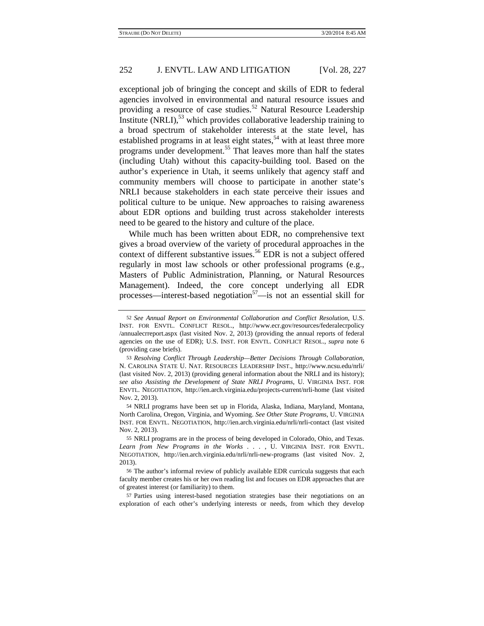exceptional job of bringing the concept and skills of EDR to federal agencies involved in environmental and natural resource issues and providing a resource of case studies.<sup>52</sup> Natural Resource Leadership Institute  $(NRLI)$ ,  $53$  which provides collaborative leadership training to a broad spectrum of stakeholder interests at the state level, has established programs in at least eight states,  $54$  with at least three more programs under development.<sup>55</sup> That leaves more than half the states (including Utah) without this capacity-building tool. Based on the author's experience in Utah, it seems unlikely that agency staff and community members will choose to participate in another state's NRLI because stakeholders in each state perceive their issues and political culture to be unique. New approaches to raising awareness about EDR options and building trust across stakeholder interests need to be geared to the history and culture of the place.

While much has been written about EDR, no comprehensive text gives a broad overview of the variety of procedural approaches in the context of different substantive issues.<sup>56</sup> EDR is not a subject offered regularly in most law schools or other professional programs (e.g., Masters of Public Administration, Planning, or Natural Resources Management). Indeed, the core concept underlying all EDR processes—interest-based negotiation<sup>57</sup>—is not an essential skill for

<sup>52</sup> *See Annual Report on Environmental Collaboration and Conflict Resolution*, U.S. INST. FOR ENVTL. CONFLICT RESOL., http://www.ecr.gov/resources/federalecrpolicy /annualecrreport.aspx (last visited Nov. 2, 2013) (providing the annual reports of federal agencies on the use of EDR); U.S. INST. FOR ENVTL. CONFLICT RESOL., *supra* note 6 (providing case briefs).

<sup>53</sup> *Resolving Conflict Through Leadership—Better Decisions Through Collaboration*, N. CAROLINA STATE U. NAT. RESOURCES LEADERSHIP INST., http://www.ncsu.edu/nrli/ (last visited Nov. 2, 2013) (providing general information about the NRLI and its history); *see also Assisting the Development of State NRLI Programs*, U. VIRGINIA INST. FOR ENVTL. NEGOTIATION, http://ien.arch.virginia.edu/projects-current/nrli-home (last visited Nov. 2, 2013).

<sup>54</sup> NRLI programs have been set up in Florida, Alaska, Indiana, Maryland, Montana, North Carolina, Oregon, Virginia, and Wyoming. *See Other State Programs*, U. VIRGINIA INST. FOR ENVTL. NEGOTIATION, http://ien.arch.virginia.edu/nrli/nrli-contact (last visited Nov. 2, 2013).

<sup>55</sup> NRLI programs are in the process of being developed in Colorado, Ohio, and Texas. *Learn from New Programs in the Works . . .* , U. VIRGINIA INST. FOR ENVTL. NEGOTIATION, http://ien.arch.virginia.edu/nrli/nrli-new-programs (last visited Nov. 2, 2013).

<sup>56</sup> The author's informal review of publicly available EDR curricula suggests that each faculty member creates his or her own reading list and focuses on EDR approaches that are of greatest interest (or familiarity) to them.

<sup>57</sup> Parties using interest-based negotiation strategies base their negotiations on an exploration of each other's underlying interests or needs, from which they develop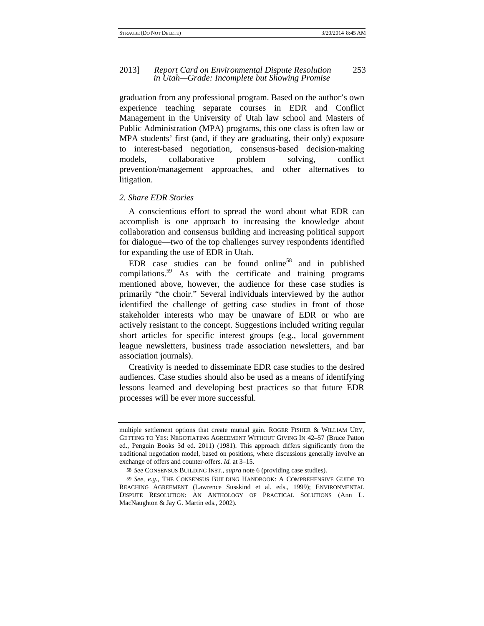#### 2013] *Report Card on Environmental Dispute Resolution* 253 *in Utah—Grade: Incomplete but Showing Promise*

graduation from any professional program. Based on the author's own experience teaching separate courses in EDR and Conflict Management in the University of Utah law school and Masters of Public Administration (MPA) programs, this one class is often law or MPA students' first (and, if they are graduating, their only) exposure to interest-based negotiation, consensus-based decision-making models, collaborative problem solving, conflict prevention/management approaches, and other alternatives to litigation.

#### *2. Share EDR Stories*

A conscientious effort to spread the word about what EDR can accomplish is one approach to increasing the knowledge about collaboration and consensus building and increasing political support for dialogue—two of the top challenges survey respondents identified for expanding the use of EDR in Utah.

EDR case studies can be found online<sup>58</sup> and in published compilations.<sup>59</sup> As with the certificate and training programs mentioned above, however, the audience for these case studies is primarily "the choir." Several individuals interviewed by the author identified the challenge of getting case studies in front of those stakeholder interests who may be unaware of EDR or who are actively resistant to the concept. Suggestions included writing regular short articles for specific interest groups (e.g., local government league newsletters, business trade association newsletters, and bar association journals).

Creativity is needed to disseminate EDR case studies to the desired audiences. Case studies should also be used as a means of identifying lessons learned and developing best practices so that future EDR processes will be ever more successful.

multiple settlement options that create mutual gain. ROGER FISHER & WILLIAM URY, GETTING TO YES: NEGOTIATING AGREEMENT WITHOUT GIVING IN 42–57 (Bruce Patton ed., Penguin Books 3d ed. 2011) (1981). This approach differs significantly from the traditional negotiation model, based on positions, where discussions generally involve an exchange of offers and counter-offers. *Id.* at 3–15.

<sup>58</sup> *See* CONSENSUS BUILDING INST., *supra* note 6 (providing case studies).

<sup>59</sup> *See, e.g.*, THE CONSENSUS BUILDING HANDBOOK: A COMPREHENSIVE GUIDE TO REACHING AGREEMENT (Lawrence Susskind et al. eds., 1999); ENVIRONMENTAL DISPUTE RESOLUTION: AN ANTHOLOGY OF PRACTICAL SOLUTIONS (Ann L. MacNaughton & Jay G. Martin eds., 2002).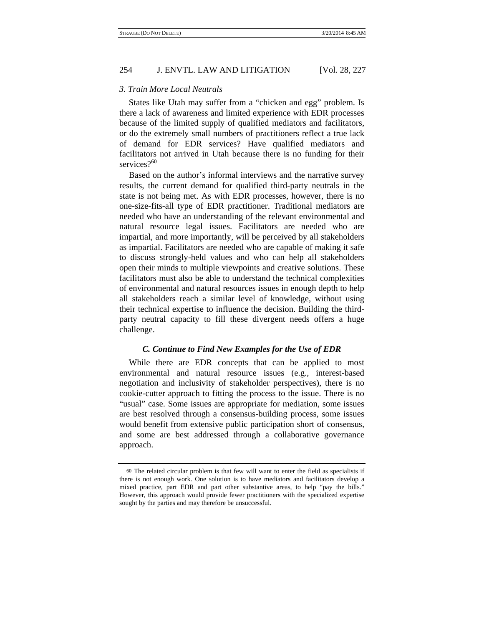#### *3. Train More Local Neutrals*

States like Utah may suffer from a "chicken and egg" problem. Is there a lack of awareness and limited experience with EDR processes because of the limited supply of qualified mediators and facilitators, or do the extremely small numbers of practitioners reflect a true lack of demand for EDR services? Have qualified mediators and facilitators not arrived in Utah because there is no funding for their services? $60$ 

Based on the author's informal interviews and the narrative survey results, the current demand for qualified third-party neutrals in the state is not being met. As with EDR processes, however, there is no one-size-fits-all type of EDR practitioner. Traditional mediators are needed who have an understanding of the relevant environmental and natural resource legal issues. Facilitators are needed who are impartial, and more importantly, will be perceived by all stakeholders as impartial. Facilitators are needed who are capable of making it safe to discuss strongly-held values and who can help all stakeholders open their minds to multiple viewpoints and creative solutions. These facilitators must also be able to understand the technical complexities of environmental and natural resources issues in enough depth to help all stakeholders reach a similar level of knowledge, without using their technical expertise to influence the decision. Building the thirdparty neutral capacity to fill these divergent needs offers a huge challenge.

#### *C. Continue to Find New Examples for the Use of EDR*

While there are EDR concepts that can be applied to most environmental and natural resource issues (e.g., interest-based negotiation and inclusivity of stakeholder perspectives), there is no cookie-cutter approach to fitting the process to the issue. There is no "usual" case. Some issues are appropriate for mediation, some issues are best resolved through a consensus-building process, some issues would benefit from extensive public participation short of consensus, and some are best addressed through a collaborative governance approach.

<sup>60</sup> The related circular problem is that few will want to enter the field as specialists if there is not enough work. One solution is to have mediators and facilitators develop a mixed practice, part EDR and part other substantive areas, to help "pay the bills." However, this approach would provide fewer practitioners with the specialized expertise sought by the parties and may therefore be unsuccessful.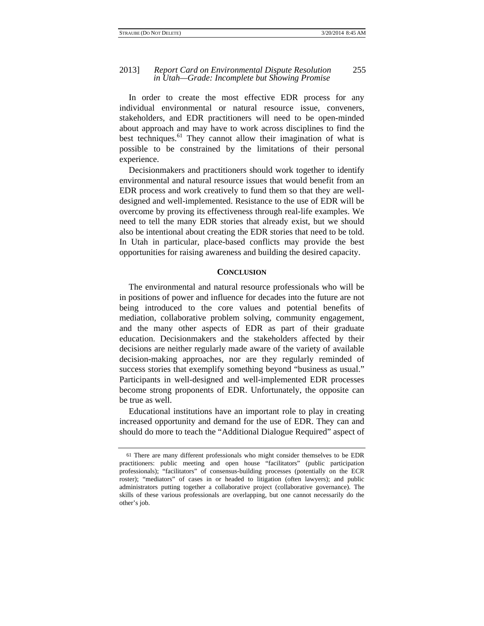In order to create the most effective EDR process for any individual environmental or natural resource issue, conveners, stakeholders, and EDR practitioners will need to be open-minded about approach and may have to work across disciplines to find the best techniques. $61$  They cannot allow their imagination of what is possible to be constrained by the limitations of their personal experience.

Decisionmakers and practitioners should work together to identify environmental and natural resource issues that would benefit from an EDR process and work creatively to fund them so that they are welldesigned and well-implemented. Resistance to the use of EDR will be overcome by proving its effectiveness through real-life examples. We need to tell the many EDR stories that already exist, but we should also be intentional about creating the EDR stories that need to be told. In Utah in particular, place-based conflicts may provide the best opportunities for raising awareness and building the desired capacity.

#### **CONCLUSION**

The environmental and natural resource professionals who will be in positions of power and influence for decades into the future are not being introduced to the core values and potential benefits of mediation, collaborative problem solving, community engagement, and the many other aspects of EDR as part of their graduate education. Decisionmakers and the stakeholders affected by their decisions are neither regularly made aware of the variety of available decision-making approaches, nor are they regularly reminded of success stories that exemplify something beyond "business as usual." Participants in well-designed and well-implemented EDR processes become strong proponents of EDR. Unfortunately, the opposite can be true as well.

Educational institutions have an important role to play in creating increased opportunity and demand for the use of EDR. They can and should do more to teach the "Additional Dialogue Required" aspect of

<sup>61</sup> There are many different professionals who might consider themselves to be EDR practitioners: public meeting and open house "facilitators" (public participation professionals); "facilitators" of consensus-building processes (potentially on the ECR roster); "mediators" of cases in or headed to litigation (often lawyers); and public administrators putting together a collaborative project (collaborative governance). The skills of these various professionals are overlapping, but one cannot necessarily do the other's job.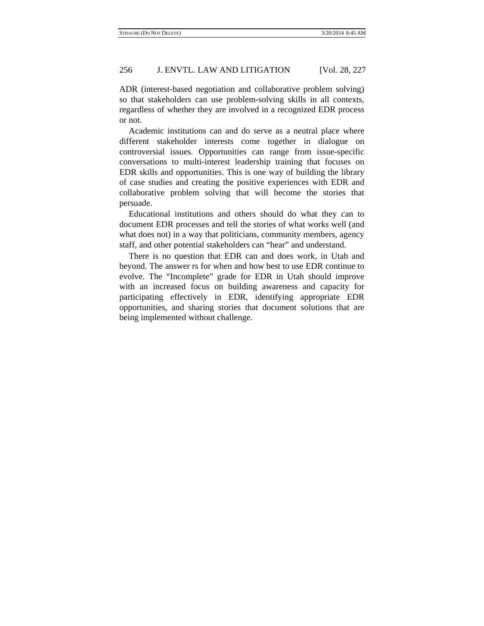ADR (interest-based negotiation and collaborative problem solving) so that stakeholders can use problem-solving skills in all contexts, regardless of whether they are involved in a recognized EDR process or not.

Academic institutions can and do serve as a neutral place where different stakeholder interests come together in dialogue on controversial issues. Opportunities can range from issue-specific conversations to multi-interest leadership training that focuses on EDR skills and opportunities. This is one way of building the library of case studies and creating the positive experiences with EDR and collaborative problem solving that will become the stories that persuade.

Educational institutions and others should do what they can to document EDR processes and tell the stories of what works well (and what does not) in a way that politicians, community members, agency staff, and other potential stakeholders can "hear" and understand.

There is no question that EDR can and does work, in Utah and beyond. The answer rs for when and how best to use EDR continue to evolve. The "Incomplete" grade for EDR in Utah should improve with an increased focus on building awareness and capacity for participating effectively in EDR, identifying appropriate EDR opportunities, and sharing stories that document solutions that are being implemented without challenge.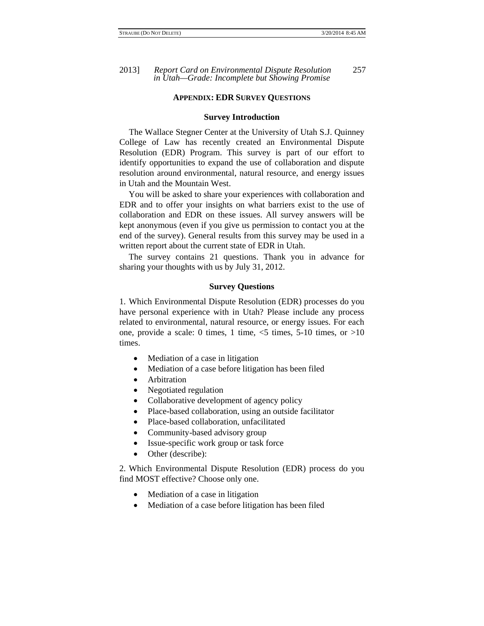#### **APPENDIX: EDR SURVEY QUESTIONS**

#### **Survey Introduction**

The Wallace Stegner Center at the University of Utah S.J. Quinney College of Law has recently created an Environmental Dispute Resolution (EDR) Program. This survey is part of our effort to identify opportunities to expand the use of collaboration and dispute resolution around environmental, natural resource, and energy issues in Utah and the Mountain West.

You will be asked to share your experiences with collaboration and EDR and to offer your insights on what barriers exist to the use of collaboration and EDR on these issues. All survey answers will be kept anonymous (even if you give us permission to contact you at the end of the survey). General results from this survey may be used in a written report about the current state of EDR in Utah.

The survey contains 21 questions. Thank you in advance for sharing your thoughts with us by July 31, 2012.

#### **Survey Questions**

1. Which Environmental Dispute Resolution (EDR) processes do you have personal experience with in Utah? Please include any process related to environmental, natural resource, or energy issues. For each one, provide a scale: 0 times, 1 time,  $\le$  times, 5-10 times, or  $>10$ times.

- Mediation of a case in litigation
- Mediation of a case before litigation has been filed
- Arbitration
- Negotiated regulation
- Collaborative development of agency policy
- Place-based collaboration, using an outside facilitator
- Place-based collaboration, unfacilitated
- Community-based advisory group
- Issue-specific work group or task force
- Other (describe):

2. Which Environmental Dispute Resolution (EDR) process do you find MOST effective? Choose only one.

- Mediation of a case in litigation
- Mediation of a case before litigation has been filed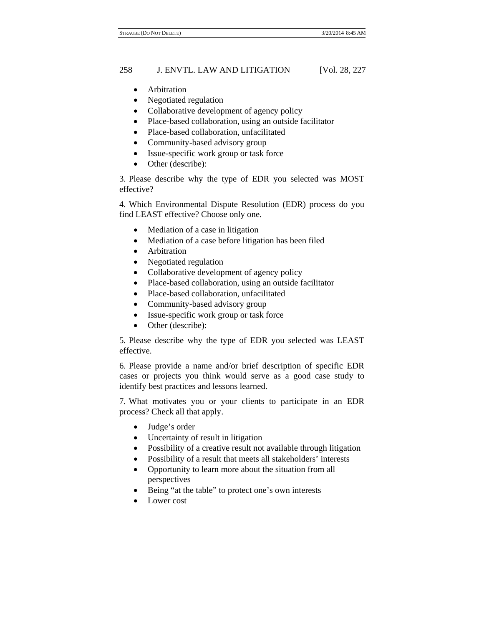- Arbitration
- Negotiated regulation
- Collaborative development of agency policy
- Place-based collaboration, using an outside facilitator
- Place-based collaboration, unfacilitated
- Community-based advisory group
- Issue-specific work group or task force
- Other (describe):

3. Please describe why the type of EDR you selected was MOST effective?

4. Which Environmental Dispute Resolution (EDR) process do you find LEAST effective? Choose only one.

- Mediation of a case in litigation
- Mediation of a case before litigation has been filed
- Arbitration
- Negotiated regulation
- Collaborative development of agency policy
- Place-based collaboration, using an outside facilitator
- Place-based collaboration, unfacilitated
- Community-based advisory group
- Issue-specific work group or task force
- Other (describe):

5. Please describe why the type of EDR you selected was LEAST effective.

6. Please provide a name and/or brief description of specific EDR cases or projects you think would serve as a good case study to identify best practices and lessons learned.

7. What motivates you or your clients to participate in an EDR process? Check all that apply.

- Judge's order
- Uncertainty of result in litigation
- Possibility of a creative result not available through litigation
- Possibility of a result that meets all stakeholders' interests
- Opportunity to learn more about the situation from all perspectives
- Being "at the table" to protect one's own interests
- Lower cost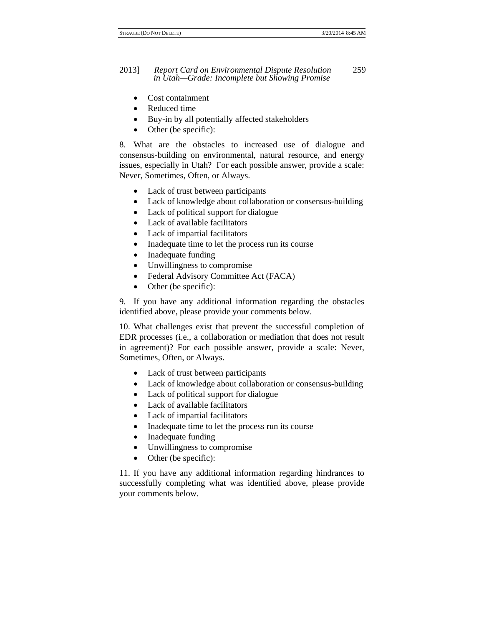- Cost containment
- Reduced time
- Buy-in by all potentially affected stakeholders
- Other (be specific):

8. What are the obstacles to increased use of dialogue and consensus-building on environmental, natural resource, and energy issues, especially in Utah? For each possible answer, provide a scale: Never, Sometimes, Often, or Always.

- Lack of trust between participants
- Lack of knowledge about collaboration or consensus-building
- Lack of political support for dialogue
- Lack of available facilitators
- Lack of impartial facilitators
- Inadequate time to let the process run its course
- Inadequate funding
- Unwillingness to compromise
- Federal Advisory Committee Act (FACA)
- Other (be specific):

9. If you have any additional information regarding the obstacles identified above, please provide your comments below.

10. What challenges exist that prevent the successful completion of EDR processes (i.e., a collaboration or mediation that does not result in agreement)? For each possible answer, provide a scale: Never, Sometimes, Often, or Always.

- Lack of trust between participants
- Lack of knowledge about collaboration or consensus-building
- Lack of political support for dialogue
- Lack of available facilitators
- Lack of impartial facilitators
- Inadequate time to let the process run its course
- Inadequate funding
- Unwillingness to compromise
- Other (be specific):

11. If you have any additional information regarding hindrances to successfully completing what was identified above, please provide your comments below.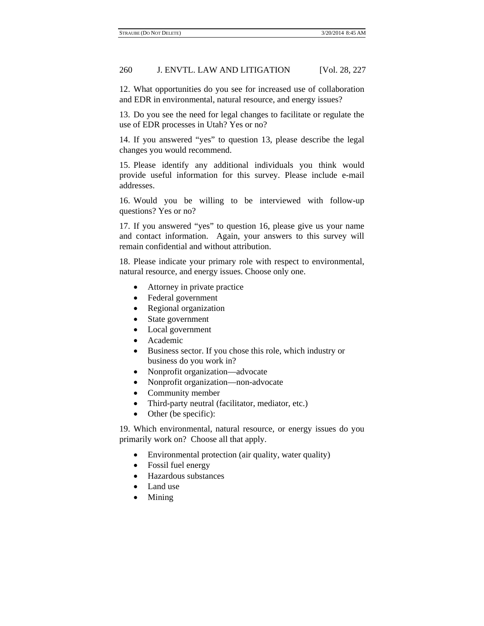12. What opportunities do you see for increased use of collaboration and EDR in environmental, natural resource, and energy issues?

13. Do you see the need for legal changes to facilitate or regulate the use of EDR processes in Utah? Yes or no?

14. If you answered "yes" to question 13, please describe the legal changes you would recommend.

15. Please identify any additional individuals you think would provide useful information for this survey. Please include e-mail addresses.

16. Would you be willing to be interviewed with follow-up questions? Yes or no?

17. If you answered "yes" to question 16, please give us your name and contact information. Again, your answers to this survey will remain confidential and without attribution.

18. Please indicate your primary role with respect to environmental, natural resource, and energy issues. Choose only one.

- Attorney in private practice
- Federal government
- Regional organization
- State government
- Local government
- Academic
- Business sector. If you chose this role, which industry or business do you work in?
- Nonprofit organization—advocate
- Nonprofit organization—non-advocate
- Community member
- Third-party neutral (facilitator, mediator, etc.)
- Other (be specific):

19. Which environmental, natural resource, or energy issues do you primarily work on? Choose all that apply.

- Environmental protection (air quality, water quality)
- Fossil fuel energy
- Hazardous substances
- Land use
- Mining